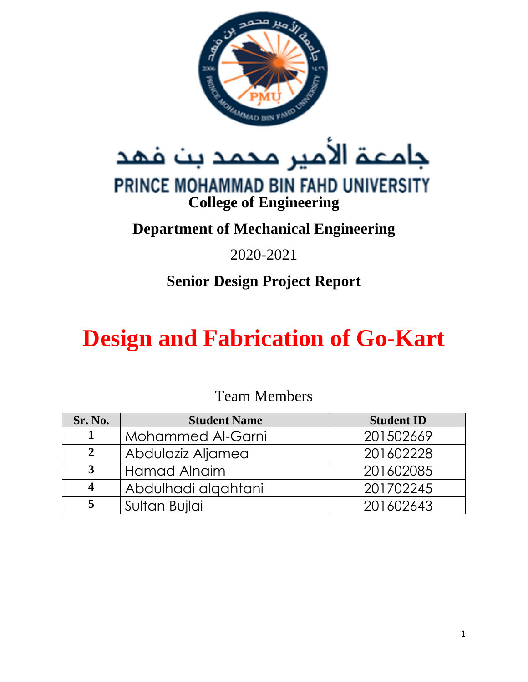

جامعة الأمير محمد بن فهد

# PRINCE MOHAMMAD BIN FAHD UNIVERSITY **College of Engineering**

# **Department of Mechanical Engineering**

# 2020-2021

# **Senior Design Project Report**

# **Design and Fabrication of Go-Kart**

# Team Members

| Sr. No. | <b>Student Name</b>      | <b>Student ID</b> |
|---------|--------------------------|-------------------|
|         | <b>Mohammed Al-Garni</b> | 201502669         |
| 2       | Abdulaziz Aljamea        | 201602228         |
| 3       | <b>Hamad Alnaim</b>      | 201602085         |
|         | Abdulhadi alqahtani      | 201702245         |
|         | Sultan Bujlai            | 201602643         |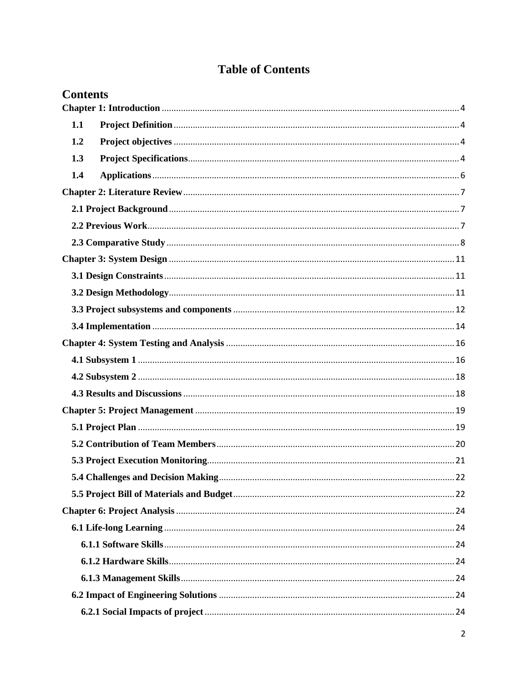# **Table of Contents**

| <b>Contents</b> |  |
|-----------------|--|
|                 |  |
| 1.1             |  |
| 1.2             |  |
| 1.3             |  |
| 1.4             |  |
|                 |  |
|                 |  |
|                 |  |
|                 |  |
|                 |  |
|                 |  |
|                 |  |
|                 |  |
|                 |  |
|                 |  |
|                 |  |
|                 |  |
|                 |  |
|                 |  |
|                 |  |
|                 |  |
|                 |  |
|                 |  |
|                 |  |
|                 |  |
|                 |  |
|                 |  |
|                 |  |
|                 |  |
|                 |  |
|                 |  |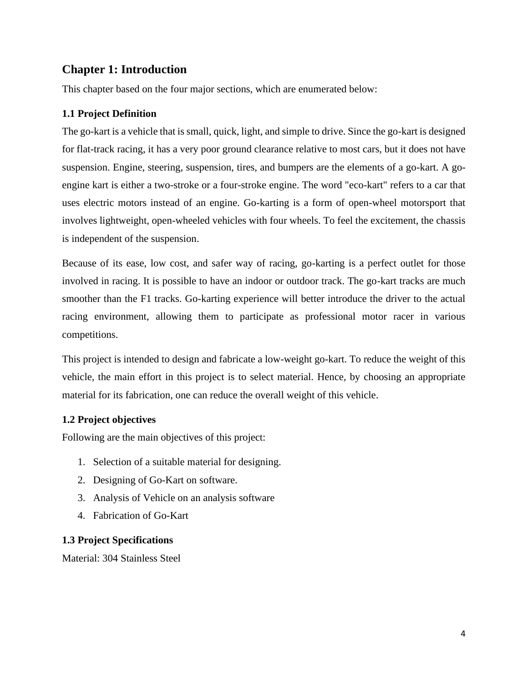# <span id="page-3-0"></span>**Chapter 1: Introduction**

This chapter based on the four major sections, which are enumerated below:

#### <span id="page-3-1"></span>**1.1 Project Definition**

The go-kart is a vehicle that is small, quick, light, and simple to drive. Since the go-kart is designed for flat-track racing, it has a very poor ground clearance relative to most cars, but it does not have suspension. Engine, steering, suspension, tires, and bumpers are the elements of a go-kart. A goengine kart is either a two-stroke or a four-stroke engine. The word "eco-kart" refers to a car that uses electric motors instead of an engine. Go-karting is a form of open-wheel motorsport that involves lightweight, open-wheeled vehicles with four wheels. To feel the excitement, the chassis is independent of the suspension.

Because of its ease, low cost, and safer way of racing, go-karting is a perfect outlet for those involved in racing. It is possible to have an indoor or outdoor track. The go-kart tracks are much smoother than the F1 tracks. Go-karting experience will better introduce the driver to the actual racing environment, allowing them to participate as professional motor racer in various competitions.

This project is intended to design and fabricate a low-weight go-kart. To reduce the weight of this vehicle, the main effort in this project is to select material. Hence, by choosing an appropriate material for its fabrication, one can reduce the overall weight of this vehicle.

#### <span id="page-3-2"></span>**1.2 Project objectives**

Following are the main objectives of this project:

- 1. Selection of a suitable material for designing.
- 2. Designing of Go-Kart on software.
- 3. Analysis of Vehicle on an analysis software
- 4. Fabrication of Go-Kart

#### <span id="page-3-3"></span>**1.3 Project Specifications**

Material: 304 Stainless Steel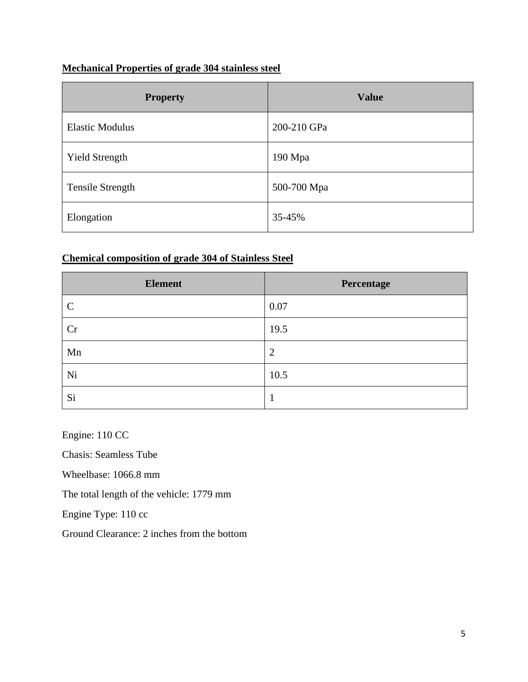# **Mechanical Properties of grade 304 stainless steel**

| <b>Property</b>         | <b>Value</b> |
|-------------------------|--------------|
| <b>Elastic Modulus</b>  | 200-210 GPa  |
| <b>Yield Strength</b>   | 190 Mpa      |
| <b>Tensile Strength</b> | 500-700 Mpa  |
| Elongation              | 35-45%       |

# **Chemical composition of grade 304 of Stainless Steel**

| <b>Element</b> | Percentage     |
|----------------|----------------|
| $\mathcal{C}$  | 0.07           |
| Cr             | 19.5           |
| Mn             | $\overline{2}$ |
| Ni             | 10.5           |
| Si             |                |

Engine: 110 CC

Chasis: Seamless Tube

Wheelbase: 1066.8 mm

The total length of the vehicle: 1779 mm

Engine Type: 110 cc

Ground Clearance: 2 inches from the bottom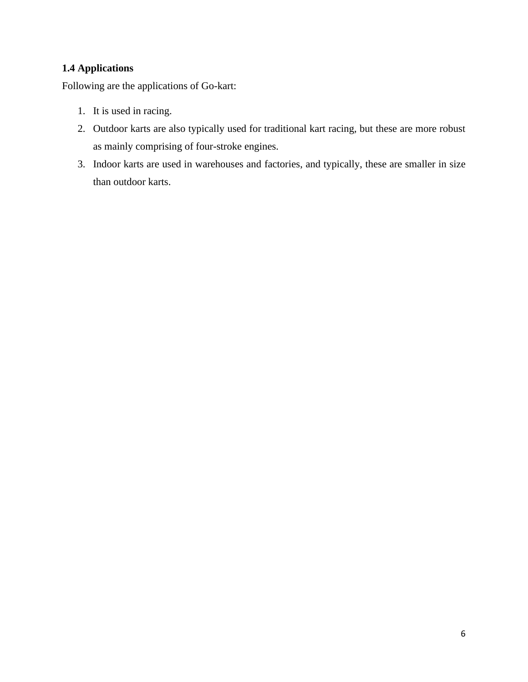## <span id="page-5-0"></span>**1.4 Applications**

Following are the applications of Go-kart:

- 1. It is used in racing.
- 2. Outdoor karts are also typically used for traditional kart racing, but these are more robust as mainly comprising of four-stroke engines.
- 3. Indoor karts are used in warehouses and factories, and typically, these are smaller in size than outdoor karts.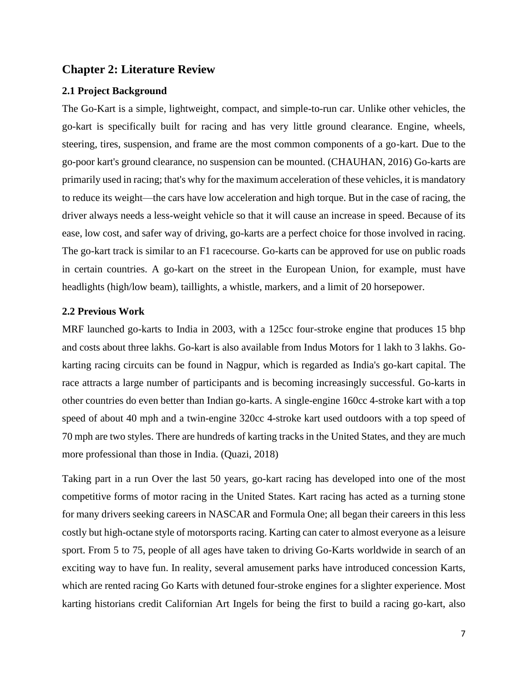#### <span id="page-6-0"></span>**Chapter 2: Literature Review**

#### <span id="page-6-1"></span>**2.1 Project Background**

The Go-Kart is a simple, lightweight, compact, and simple-to-run car. Unlike other vehicles, the go-kart is specifically built for racing and has very little ground clearance. Engine, wheels, steering, tires, suspension, and frame are the most common components of a go-kart. Due to the go-poor kart's ground clearance, no suspension can be mounted. (CHAUHAN, 2016) Go-karts are primarily used in racing; that's why for the maximum acceleration of these vehicles, it is mandatory to reduce its weight—the cars have low acceleration and high torque. But in the case of racing, the driver always needs a less-weight vehicle so that it will cause an increase in speed. Because of its ease, low cost, and safer way of driving, go-karts are a perfect choice for those involved in racing. The go-kart track is similar to an F1 racecourse. Go-karts can be approved for use on public roads in certain countries. A go-kart on the street in the European Union, for example, must have headlights (high/low beam), taillights, a whistle, markers, and a limit of 20 horsepower.

#### <span id="page-6-2"></span>**2.2 Previous Work**

MRF launched go-karts to India in 2003, with a 125cc four-stroke engine that produces 15 bhp and costs about three lakhs. Go-kart is also available from Indus Motors for 1 lakh to 3 lakhs. Gokarting racing circuits can be found in Nagpur, which is regarded as India's go-kart capital. The race attracts a large number of participants and is becoming increasingly successful. Go-karts in other countries do even better than Indian go-karts. A single-engine 160cc 4-stroke kart with a top speed of about 40 mph and a twin-engine 320cc 4-stroke kart used outdoors with a top speed of 70 mph are two styles. There are hundreds of karting tracks in the United States, and they are much more professional than those in India. (Quazi, 2018)

Taking part in a run Over the last 50 years, go-kart racing has developed into one of the most competitive forms of motor racing in the United States. Kart racing has acted as a turning stone for many drivers seeking careers in NASCAR and Formula One; all began their careers in this less costly but high-octane style of motorsports racing. Karting can cater to almost everyone as a leisure sport. From 5 to 75, people of all ages have taken to driving Go-Karts worldwide in search of an exciting way to have fun. In reality, several amusement parks have introduced concession Karts, which are rented racing Go Karts with detuned four-stroke engines for a slighter experience. Most karting historians credit Californian Art Ingels for being the first to build a racing go-kart, also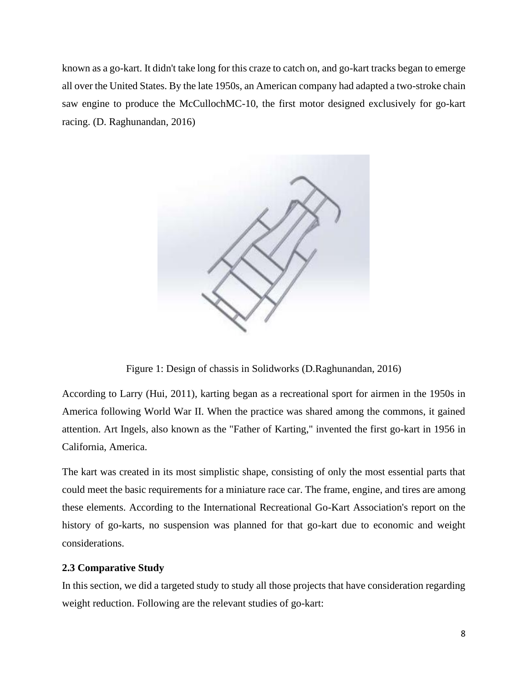known as a go-kart. It didn't take long for this craze to catch on, and go-kart tracks began to emerge all over the United States. By the late 1950s, an American company had adapted a two-stroke chain saw engine to produce the McCullochMC-10, the first motor designed exclusively for go-kart racing. (D. Raghunandan, 2016)



Figure 1: Design of chassis in Solidworks (D.Raghunandan, 2016)

According to Larry (Hui, 2011), karting began as a recreational sport for airmen in the 1950s in America following World War II. When the practice was shared among the commons, it gained attention. Art Ingels, also known as the "Father of Karting," invented the first go-kart in 1956 in California, America.

The kart was created in its most simplistic shape, consisting of only the most essential parts that could meet the basic requirements for a miniature race car. The frame, engine, and tires are among these elements. According to the International Recreational Go-Kart Association's report on the history of go-karts, no suspension was planned for that go-kart due to economic and weight considerations.

#### <span id="page-7-0"></span>**2.3 Comparative Study**

In this section, we did a targeted study to study all those projects that have consideration regarding weight reduction. Following are the relevant studies of go-kart: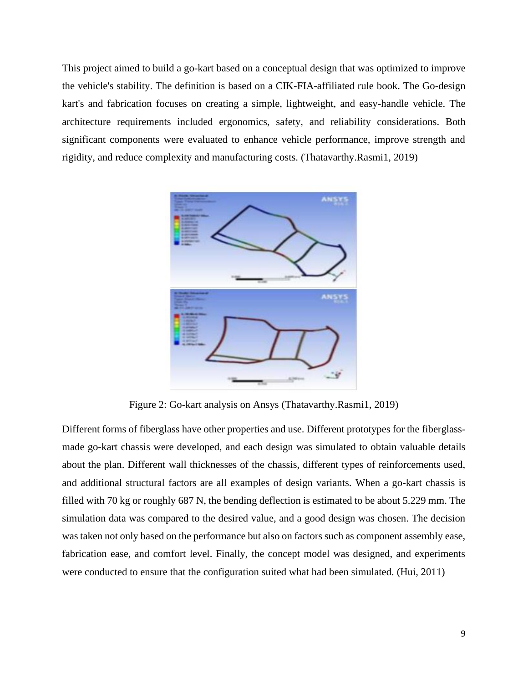This project aimed to build a go-kart based on a conceptual design that was optimized to improve the vehicle's stability. The definition is based on a CIK-FIA-affiliated rule book. The Go-design kart's and fabrication focuses on creating a simple, lightweight, and easy-handle vehicle. The architecture requirements included ergonomics, safety, and reliability considerations. Both significant components were evaluated to enhance vehicle performance, improve strength and rigidity, and reduce complexity and manufacturing costs. (Thatavarthy.Rasmi1, 2019)



Figure 2: Go-kart analysis on Ansys (Thatavarthy.Rasmi1, 2019)

Different forms of fiberglass have other properties and use. Different prototypes for the fiberglassmade go-kart chassis were developed, and each design was simulated to obtain valuable details about the plan. Different wall thicknesses of the chassis, different types of reinforcements used, and additional structural factors are all examples of design variants. When a go-kart chassis is filled with 70 kg or roughly 687 N, the bending deflection is estimated to be about 5.229 mm. The simulation data was compared to the desired value, and a good design was chosen. The decision was taken not only based on the performance but also on factors such as component assembly ease, fabrication ease, and comfort level. Finally, the concept model was designed, and experiments were conducted to ensure that the configuration suited what had been simulated. (Hui, 2011)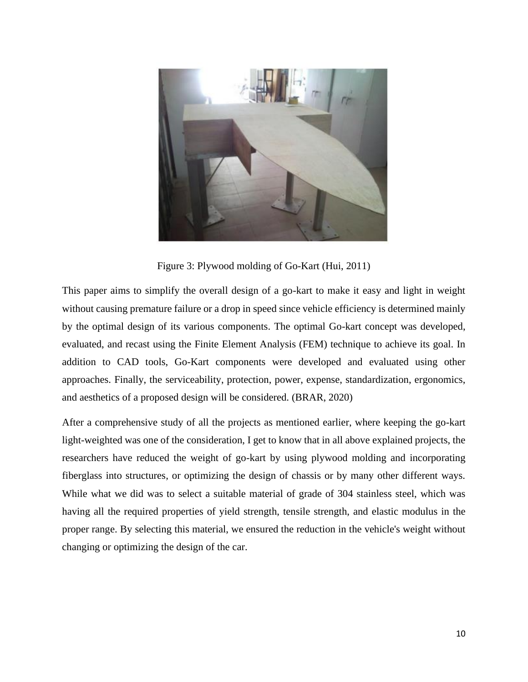

Figure 3: Plywood molding of Go-Kart (Hui, 2011)

This paper aims to simplify the overall design of a go-kart to make it easy and light in weight without causing premature failure or a drop in speed since vehicle efficiency is determined mainly by the optimal design of its various components. The optimal Go-kart concept was developed, evaluated, and recast using the Finite Element Analysis (FEM) technique to achieve its goal. In addition to CAD tools, Go-Kart components were developed and evaluated using other approaches. Finally, the serviceability, protection, power, expense, standardization, ergonomics, and aesthetics of a proposed design will be considered. (BRAR, 2020)

After a comprehensive study of all the projects as mentioned earlier, where keeping the go-kart light-weighted was one of the consideration, I get to know that in all above explained projects, the researchers have reduced the weight of go-kart by using plywood molding and incorporating fiberglass into structures, or optimizing the design of chassis or by many other different ways. While what we did was to select a suitable material of grade of 304 stainless steel, which was having all the required properties of yield strength, tensile strength, and elastic modulus in the proper range. By selecting this material, we ensured the reduction in the vehicle's weight without changing or optimizing the design of the car.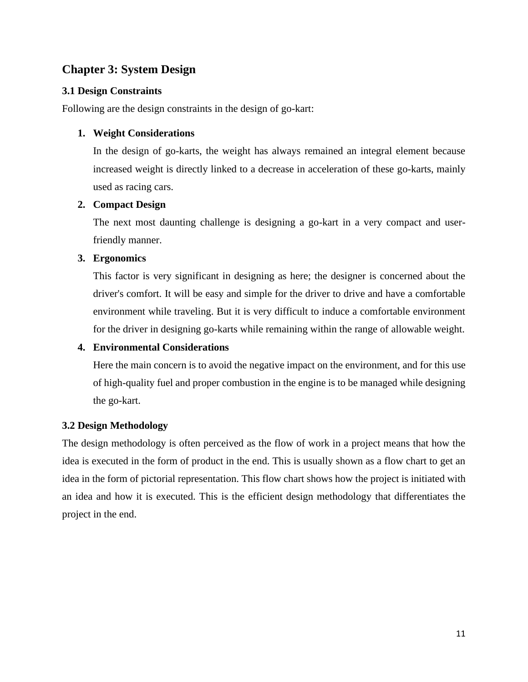# <span id="page-10-0"></span>**Chapter 3: System Design**

#### <span id="page-10-1"></span>**3.1 Design Constraints**

Following are the design constraints in the design of go-kart:

#### **1. Weight Considerations**

In the design of go-karts, the weight has always remained an integral element because increased weight is directly linked to a decrease in acceleration of these go-karts, mainly used as racing cars.

#### **2. Compact Design**

The next most daunting challenge is designing a go-kart in a very compact and userfriendly manner.

#### **3. Ergonomics**

This factor is very significant in designing as here; the designer is concerned about the driver's comfort. It will be easy and simple for the driver to drive and have a comfortable environment while traveling. But it is very difficult to induce a comfortable environment for the driver in designing go-karts while remaining within the range of allowable weight.

#### **4. Environmental Considerations**

Here the main concern is to avoid the negative impact on the environment, and for this use of high-quality fuel and proper combustion in the engine is to be managed while designing the go-kart.

## <span id="page-10-2"></span>**3.2 Design Methodology**

The design methodology is often perceived as the flow of work in a project means that how the idea is executed in the form of product in the end. This is usually shown as a flow chart to get an idea in the form of pictorial representation. This flow chart shows how the project is initiated with an idea and how it is executed. This is the efficient design methodology that differentiates the project in the end.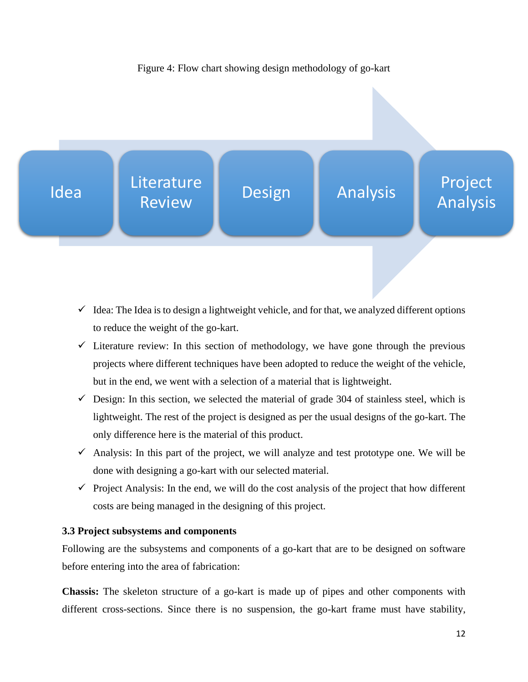

- $\checkmark$  Idea: The Idea is to design a lightweight vehicle, and for that, we analyzed different options to reduce the weight of the go-kart.
- $\checkmark$  Literature review: In this section of methodology, we have gone through the previous projects where different techniques have been adopted to reduce the weight of the vehicle, but in the end, we went with a selection of a material that is lightweight.
- $\checkmark$  Design: In this section, we selected the material of grade 304 of stainless steel, which is lightweight. The rest of the project is designed as per the usual designs of the go-kart. The only difference here is the material of this product.
- $\checkmark$  Analysis: In this part of the project, we will analyze and test prototype one. We will be done with designing a go-kart with our selected material.
- $\checkmark$  Project Analysis: In the end, we will do the cost analysis of the project that how different costs are being managed in the designing of this project.

#### <span id="page-11-0"></span>**3.3 Project subsystems and components**

Following are the subsystems and components of a go-kart that are to be designed on software before entering into the area of fabrication:

**Chassis:** The skeleton structure of a go-kart is made up of pipes and other components with different cross-sections. Since there is no suspension, the go-kart frame must have stability,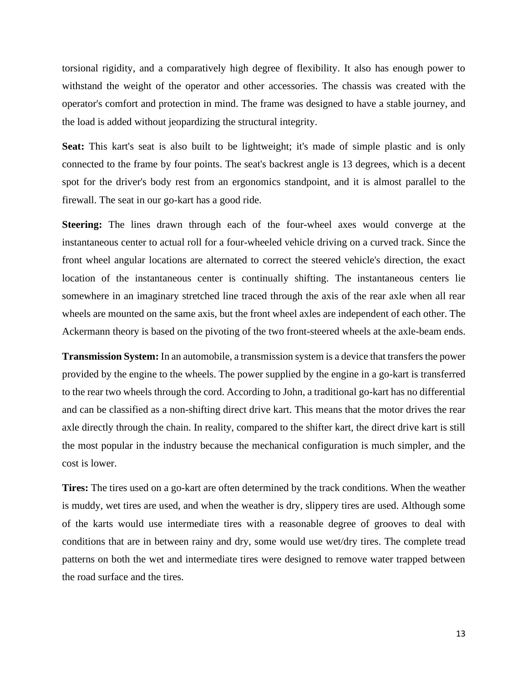torsional rigidity, and a comparatively high degree of flexibility. It also has enough power to withstand the weight of the operator and other accessories. The chassis was created with the operator's comfort and protection in mind. The frame was designed to have a stable journey, and the load is added without jeopardizing the structural integrity.

**Seat:** This kart's seat is also built to be lightweight; it's made of simple plastic and is only connected to the frame by four points. The seat's backrest angle is 13 degrees, which is a decent spot for the driver's body rest from an ergonomics standpoint, and it is almost parallel to the firewall. The seat in our go-kart has a good ride.

**Steering:** The lines drawn through each of the four-wheel axes would converge at the instantaneous center to actual roll for a four-wheeled vehicle driving on a curved track. Since the front wheel angular locations are alternated to correct the steered vehicle's direction, the exact location of the instantaneous center is continually shifting. The instantaneous centers lie somewhere in an imaginary stretched line traced through the axis of the rear axle when all rear wheels are mounted on the same axis, but the front wheel axles are independent of each other. The Ackermann theory is based on the pivoting of the two front-steered wheels at the axle-beam ends.

**Transmission System:** In an automobile, a transmission system is a device that transfers the power provided by the engine to the wheels. The power supplied by the engine in a go-kart is transferred to the rear two wheels through the cord. According to John, a traditional go-kart has no differential and can be classified as a non-shifting direct drive kart. This means that the motor drives the rear axle directly through the chain. In reality, compared to the shifter kart, the direct drive kart is still the most popular in the industry because the mechanical configuration is much simpler, and the cost is lower.

**Tires:** The tires used on a go-kart are often determined by the track conditions. When the weather is muddy, wet tires are used, and when the weather is dry, slippery tires are used. Although some of the karts would use intermediate tires with a reasonable degree of grooves to deal with conditions that are in between rainy and dry, some would use wet/dry tires. The complete tread patterns on both the wet and intermediate tires were designed to remove water trapped between the road surface and the tires.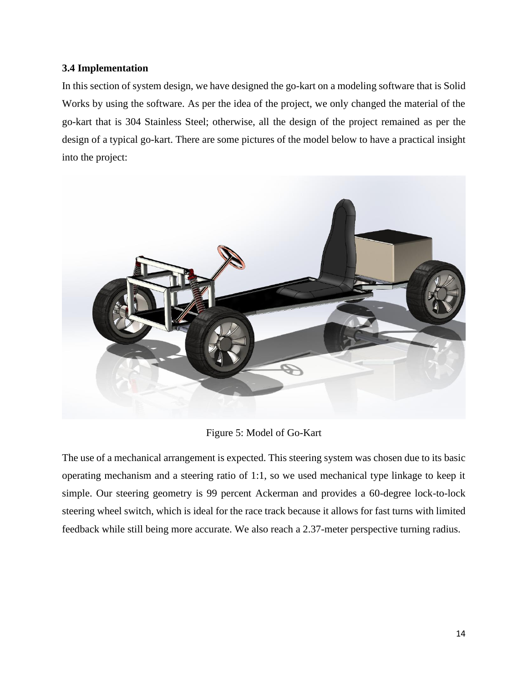#### <span id="page-13-0"></span>**3.4 Implementation**

In this section of system design, we have designed the go-kart on a modeling software that is Solid Works by using the software. As per the idea of the project, we only changed the material of the go-kart that is 304 Stainless Steel; otherwise, all the design of the project remained as per the design of a typical go-kart. There are some pictures of the model below to have a practical insight into the project:



Figure 5: Model of Go-Kart

The use of a mechanical arrangement is expected. This steering system was chosen due to its basic operating mechanism and a steering ratio of 1:1, so we used mechanical type linkage to keep it simple. Our steering geometry is 99 percent Ackerman and provides a 60-degree lock-to-lock steering wheel switch, which is ideal for the race track because it allows for fast turns with limited feedback while still being more accurate. We also reach a 2.37-meter perspective turning radius.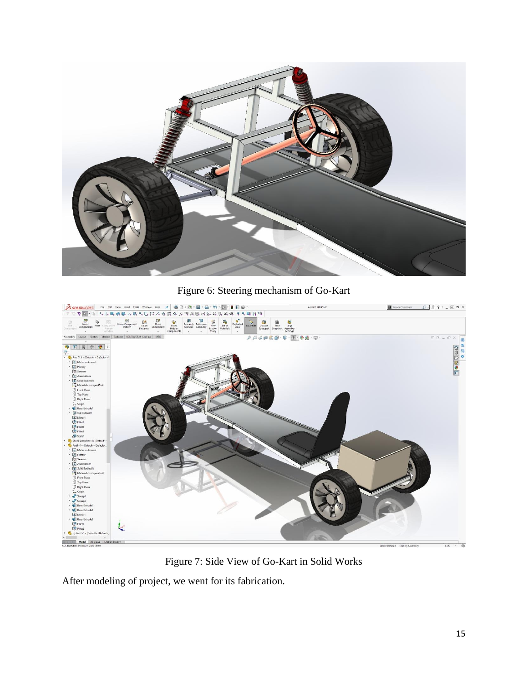

Figure 6: Steering mechanism of Go-Kart



Figure 7: Side View of Go-Kart in Solid Works

After modeling of project, we went for its fabrication.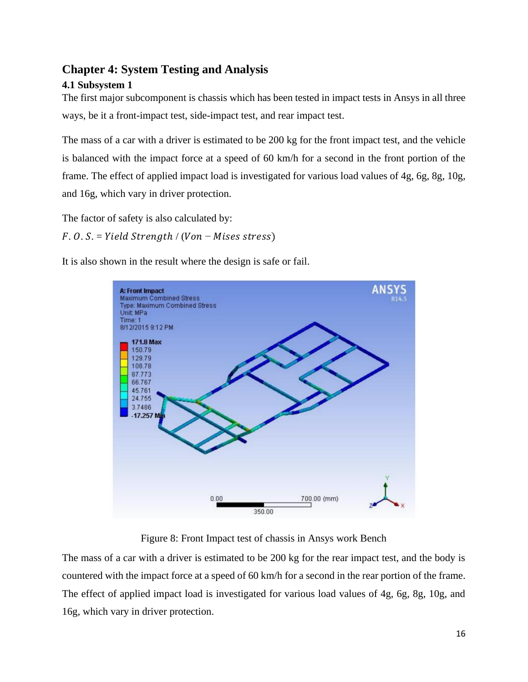# <span id="page-15-0"></span>**Chapter 4: System Testing and Analysis**

## <span id="page-15-1"></span>**4.1 Subsystem 1**

The first major subcomponent is chassis which has been tested in impact tests in Ansys in all three ways, be it a front-impact test, side-impact test, and rear impact test.

The mass of a car with a driver is estimated to be 200 kg for the front impact test, and the vehicle is balanced with the impact force at a speed of 60 km/h for a second in the front portion of the frame. The effect of applied impact load is investigated for various load values of 4g, 6g, 8g, 10g, and 16g, which vary in driver protection.

The factor of safety is also calculated by:

 $F. O. S. = Yield Strength / (Von - Mises stress)$ 

It is also shown in the result where the design is safe or fail.



Figure 8: Front Impact test of chassis in Ansys work Bench

The mass of a car with a driver is estimated to be 200 kg for the rear impact test, and the body is countered with the impact force at a speed of 60 km/h for a second in the rear portion of the frame. The effect of applied impact load is investigated for various load values of 4g, 6g, 8g, 10g, and 16g, which vary in driver protection.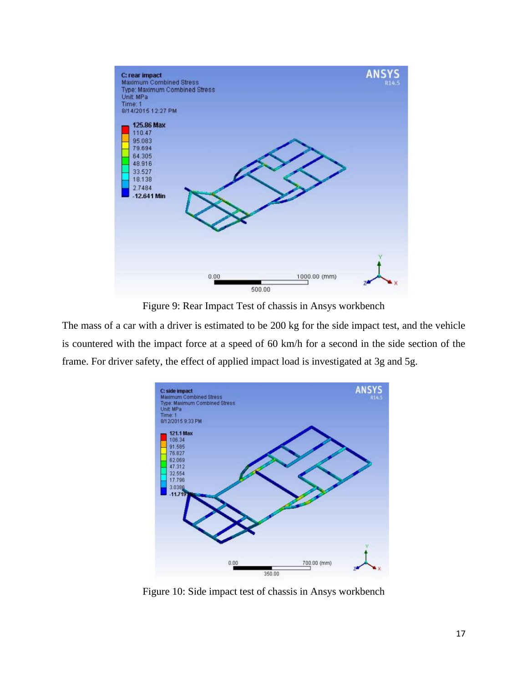

Figure 9: Rear Impact Test of chassis in Ansys workbench

The mass of a car with a driver is estimated to be 200 kg for the side impact test, and the vehicle is countered with the impact force at a speed of 60 km/h for a second in the side section of the frame. For driver safety, the effect of applied impact load is investigated at 3g and 5g.



Figure 10: Side impact test of chassis in Ansys workbench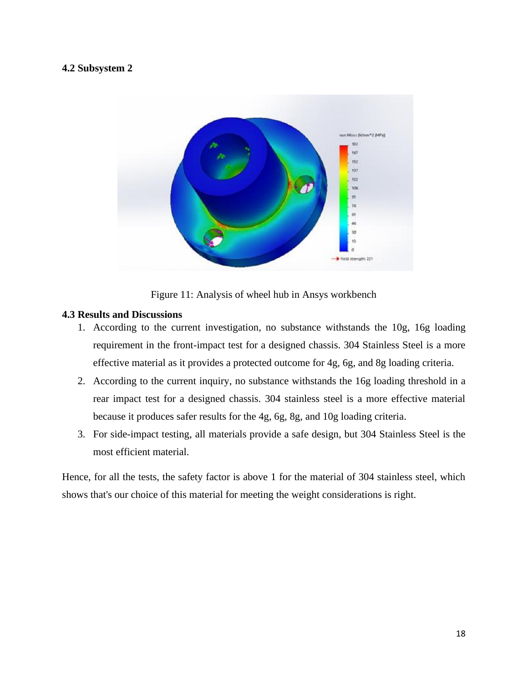#### <span id="page-17-0"></span>**4.2 Subsystem 2**



Figure 11: Analysis of wheel hub in Ansys workbench

#### <span id="page-17-1"></span>**4.3 Results and Discussions**

- 1. According to the current investigation, no substance withstands the 10g, 16g loading requirement in the front-impact test for a designed chassis. 304 Stainless Steel is a more effective material as it provides a protected outcome for 4g, 6g, and 8g loading criteria.
- 2. According to the current inquiry, no substance withstands the 16g loading threshold in a rear impact test for a designed chassis. 304 stainless steel is a more effective material because it produces safer results for the 4g, 6g, 8g, and 10g loading criteria.
- 3. For side-impact testing, all materials provide a safe design, but 304 Stainless Steel is the most efficient material.

Hence, for all the tests, the safety factor is above 1 for the material of 304 stainless steel, which shows that's our choice of this material for meeting the weight considerations is right.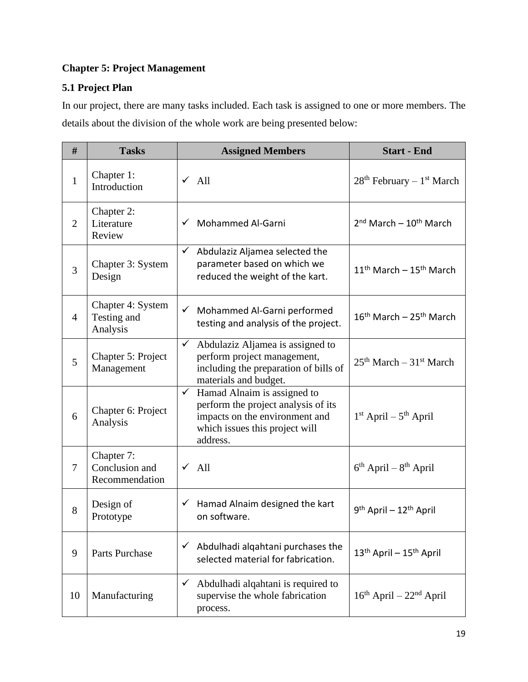# <span id="page-18-0"></span>**Chapter 5: Project Management**

# <span id="page-18-1"></span>**5.1 Project Plan**

In our project, there are many tasks included. Each task is assigned to one or more members. The details about the division of the whole work are being presented below:

| #              | <b>Tasks</b>                                   | <b>Assigned Members</b>                                                                                                                                            | <b>Start - End</b>                              |
|----------------|------------------------------------------------|--------------------------------------------------------------------------------------------------------------------------------------------------------------------|-------------------------------------------------|
| $\mathbf{1}$   | Chapter 1:<br>Introduction                     | $\sqrt{All}$                                                                                                                                                       | $28th$ February – $1st$ March                   |
| $\overline{2}$ | Chapter 2:<br>Literature<br>Review             | Mohammed Al-Garni<br>$\checkmark$                                                                                                                                  | $2nd March - 10th March$                        |
| 3              | Chapter 3: System<br>Design                    | $\checkmark$<br>Abdulaziz Aljamea selected the<br>parameter based on which we<br>reduced the weight of the kart.                                                   | $11th$ March - $15th$ March                     |
| $\overline{4}$ | Chapter 4: System<br>Testing and<br>Analysis   | ← Mohammed Al-Garni performed<br>testing and analysis of the project.                                                                                              | $16th$ March - $25th$ March                     |
| 5              | Chapter 5: Project<br>Management               | $\checkmark$<br>Abdulaziz Aljamea is assigned to<br>perform project management,<br>including the preparation of bills of<br>materials and budget.                  | $25th March - 31st March$                       |
| 6              | Chapter 6: Project<br>Analysis                 | Hamad Alnaim is assigned to<br>$\checkmark$<br>perform the project analysis of its<br>impacts on the environment and<br>which issues this project will<br>address. | $1st$ April – $5th$ April                       |
| $\overline{7}$ | Chapter 7:<br>Conclusion and<br>Recommendation | $\sqrt{All}$                                                                                                                                                       | $6th$ April – $8th$ April                       |
| 8              | Design of<br>Prototype                         | $\checkmark$ Hamad Alnaim designed the kart<br>on software.                                                                                                        | 9 <sup>th</sup> April – 12 <sup>th</sup> April  |
| 9              | Parts Purchase                                 | Abdulhadi alqahtani purchases the<br>✓<br>selected material for fabrication.                                                                                       | 13 <sup>th</sup> April - 15 <sup>th</sup> April |
| 10             | Manufacturing                                  | Abdulhadi alqahtani is required to<br>$\checkmark$<br>supervise the whole fabrication<br>process.                                                                  | $16th$ April – $22nd$ April                     |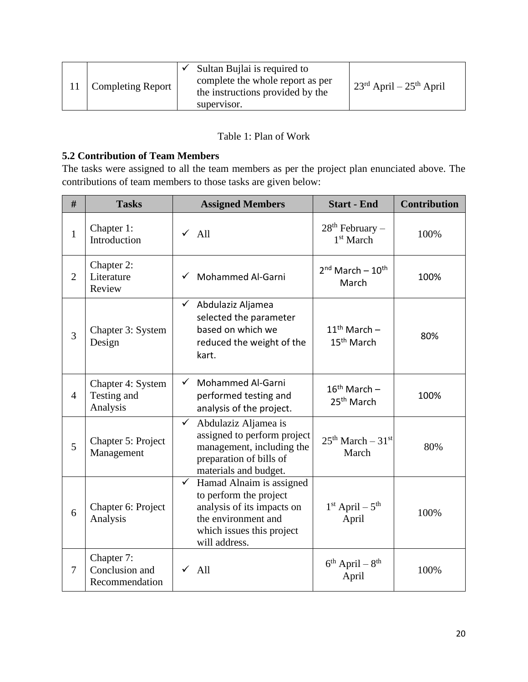|                   | Sultan Bujlai is required to                                                        |                                                               |
|-------------------|-------------------------------------------------------------------------------------|---------------------------------------------------------------|
| Completing Report | complete the whole report as per<br>the instructions provided by the<br>supervisor. | $\frac{1}{2}$ 23 <sup>rd</sup> April – 25 <sup>th</sup> April |

#### Table 1: Plan of Work

#### <span id="page-19-0"></span>**5.2 Contribution of Team Members**

The tasks were assigned to all the team members as per the project plan enunciated above. The contributions of team members to those tasks are given below:

| #              | <b>Tasks</b>                                   | <b>Assigned Members</b>                                                                                                                                               | <b>Start - End</b>                          | <b>Contribution</b> |
|----------------|------------------------------------------------|-----------------------------------------------------------------------------------------------------------------------------------------------------------------------|---------------------------------------------|---------------------|
| $\mathbf{1}$   | Chapter 1:<br>Introduction                     | $\sqrt{All}$                                                                                                                                                          | $28th$ February –<br>1 <sup>st</sup> March  | 100%                |
| $\overline{2}$ | Chapter 2:<br>Literature<br>Review             | Mohammed Al-Garni                                                                                                                                                     | $2nd$ March - $10th$<br>March               | 100%                |
| 3              | Chapter 3: System<br>Design                    | $\checkmark$<br>Abdulaziz Aljamea<br>selected the parameter<br>based on which we<br>reduced the weight of the<br>kart.                                                | $11th$ March -<br>15 <sup>th</sup> March    | 80%                 |
| $\overline{4}$ | Chapter 4: System<br>Testing and<br>Analysis   | Mohammed Al-Garni<br>$\checkmark$<br>performed testing and<br>analysis of the project.                                                                                | $16^{th}$ March -<br>25 <sup>th</sup> March | 100%                |
| 5              | Chapter 5: Project<br>Management               | $\checkmark$<br>Abdulaziz Aljamea is<br>assigned to perform project<br>management, including the<br>preparation of bills of<br>materials and budget.                  | $25th March - 31st$<br>March                | 80%                 |
| 6              | Chapter 6: Project<br>Analysis                 | Hamad Alnaim is assigned<br>$\checkmark$<br>to perform the project<br>analysis of its impacts on<br>the environment and<br>which issues this project<br>will address. | $1st$ April – $5th$<br>April                | 100%                |
| $\overline{7}$ | Chapter 7:<br>Conclusion and<br>Recommendation | $\sqrt{All}$                                                                                                                                                          | $6^{th}$ April – $8^{th}$<br>April          | 100%                |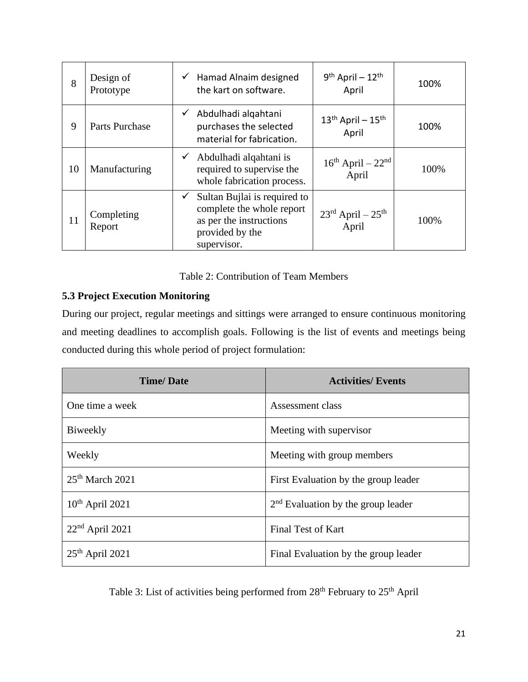| 8  | Design of<br>Prototype | $9th$ April - 12 <sup>th</sup><br>Hamad Alnaim designed<br>$\checkmark$<br>the kart on software.<br>April                                                                                    | 100% |
|----|------------------------|----------------------------------------------------------------------------------------------------------------------------------------------------------------------------------------------|------|
| 9  | Parts Purchase         | Abdulhadi alqahtani<br>$13th$ April - $15th$<br>purchases the selected<br>April<br>material for fabrication.                                                                                 | 100% |
| 10 | Manufacturing          | Abdulhadi alqahtani is<br>$\checkmark$<br>$16th$ April – $22nd$<br>required to supervise the<br>April<br>whole fabrication process.                                                          | 100% |
| 11 | Completing<br>Report   | Sultan Bujlai is required to<br>$\checkmark$<br>complete the whole report<br>$23^{\text{rd}}$ April – $25^{\text{th}}$<br>as per the instructions<br>April<br>provided by the<br>supervisor. | 100% |

#### Table 2: Contribution of Team Members

### <span id="page-20-0"></span>**5.3 Project Execution Monitoring**

During our project, regular meetings and sittings were arranged to ensure continuous monitoring and meeting deadlines to accomplish goals. Following is the list of events and meetings being conducted during this whole period of project formulation:

| <b>Time/Date</b>  | <b>Activities/Events</b>             |
|-------------------|--------------------------------------|
| One time a week   | Assessment class                     |
| Biweekly          | Meeting with supervisor              |
| Weekly            | Meeting with group members           |
| $25th$ March 2021 | First Evaluation by the group leader |
| $10th$ April 2021 | $2nd$ Evaluation by the group leader |
| $22nd$ April 2021 | Final Test of Kart                   |
| $25th$ April 2021 | Final Evaluation by the group leader |

Table 3: List of activities being performed from 28<sup>th</sup> February to 25<sup>th</sup> April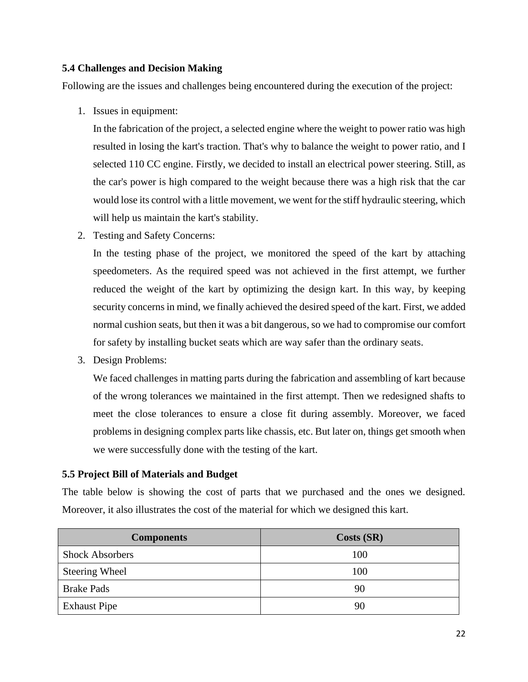#### <span id="page-21-0"></span>**5.4 Challenges and Decision Making**

Following are the issues and challenges being encountered during the execution of the project:

1. Issues in equipment:

In the fabrication of the project, a selected engine where the weight to power ratio was high resulted in losing the kart's traction. That's why to balance the weight to power ratio, and I selected 110 CC engine. Firstly, we decided to install an electrical power steering. Still, as the car's power is high compared to the weight because there was a high risk that the car would lose its control with a little movement, we went for the stiff hydraulic steering, which will help us maintain the kart's stability.

2. Testing and Safety Concerns:

In the testing phase of the project, we monitored the speed of the kart by attaching speedometers. As the required speed was not achieved in the first attempt, we further reduced the weight of the kart by optimizing the design kart. In this way, by keeping security concerns in mind, we finally achieved the desired speed of the kart. First, we added normal cushion seats, but then it was a bit dangerous, so we had to compromise our comfort for safety by installing bucket seats which are way safer than the ordinary seats.

3. Design Problems:

We faced challenges in matting parts during the fabrication and assembling of kart because of the wrong tolerances we maintained in the first attempt. Then we redesigned shafts to meet the close tolerances to ensure a close fit during assembly. Moreover, we faced problems in designing complex parts like chassis, etc. But later on, things get smooth when we were successfully done with the testing of the kart.

#### <span id="page-21-1"></span>**5.5 Project Bill of Materials and Budget**

The table below is showing the cost of parts that we purchased and the ones we designed. Moreover, it also illustrates the cost of the material for which we designed this kart.

| <b>Components</b>      | Costs(SR) |
|------------------------|-----------|
| <b>Shock Absorbers</b> | 100       |
| <b>Steering Wheel</b>  | 100       |
| <b>Brake Pads</b>      | 90        |
| <b>Exhaust Pipe</b>    | 90        |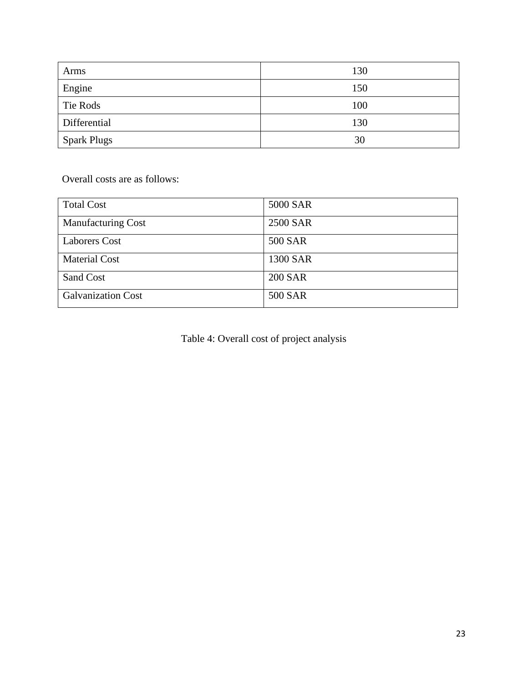| Arms               | 130 |
|--------------------|-----|
| Engine             | 150 |
| Tie Rods           | 100 |
| Differential       | 130 |
| <b>Spark Plugs</b> | 30  |

Overall costs are as follows:

| <b>Total Cost</b>         | 5000 SAR       |
|---------------------------|----------------|
| <b>Manufacturing Cost</b> | 2500 SAR       |
| <b>Laborers Cost</b>      | 500 SAR        |
| <b>Material Cost</b>      | 1300 SAR       |
| Sand Cost                 | <b>200 SAR</b> |
| <b>Galvanization Cost</b> | 500 SAR        |

Table 4: Overall cost of project analysis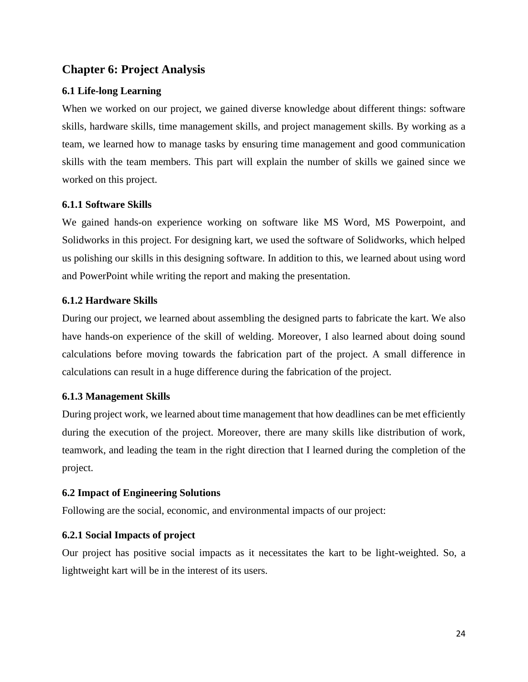# <span id="page-23-0"></span>**Chapter 6: Project Analysis**

#### <span id="page-23-1"></span>**6.1 Life-long Learning**

When we worked on our project, we gained diverse knowledge about different things: software skills, hardware skills, time management skills, and project management skills. By working as a team, we learned how to manage tasks by ensuring time management and good communication skills with the team members. This part will explain the number of skills we gained since we worked on this project.

#### <span id="page-23-2"></span>**6.1.1 Software Skills**

We gained hands-on experience working on software like MS Word, MS Powerpoint, and Solidworks in this project. For designing kart, we used the software of Solidworks, which helped us polishing our skills in this designing software. In addition to this, we learned about using word and PowerPoint while writing the report and making the presentation.

#### <span id="page-23-3"></span>**6.1.2 Hardware Skills**

During our project, we learned about assembling the designed parts to fabricate the kart. We also have hands-on experience of the skill of welding. Moreover, I also learned about doing sound calculations before moving towards the fabrication part of the project. A small difference in calculations can result in a huge difference during the fabrication of the project.

#### <span id="page-23-4"></span>**6.1.3 Management Skills**

During project work, we learned about time management that how deadlines can be met efficiently during the execution of the project. Moreover, there are many skills like distribution of work, teamwork, and leading the team in the right direction that I learned during the completion of the project.

#### <span id="page-23-5"></span>**6.2 Impact of Engineering Solutions**

Following are the social, economic, and environmental impacts of our project:

#### <span id="page-23-6"></span>**6.2.1 Social Impacts of project**

Our project has positive social impacts as it necessitates the kart to be light-weighted. So, a lightweight kart will be in the interest of its users.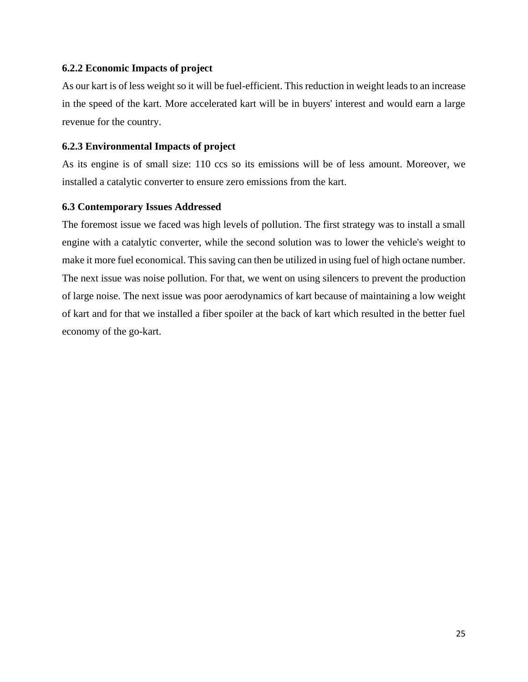#### <span id="page-24-0"></span>**6.2.2 Economic Impacts of project**

As our kart is of less weight so it will be fuel-efficient. This reduction in weight leads to an increase in the speed of the kart. More accelerated kart will be in buyers' interest and would earn a large revenue for the country.

#### <span id="page-24-1"></span>**6.2.3 Environmental Impacts of project**

As its engine is of small size: 110 ccs so its emissions will be of less amount. Moreover, we installed a catalytic converter to ensure zero emissions from the kart.

#### <span id="page-24-2"></span>**6.3 Contemporary Issues Addressed**

The foremost issue we faced was high levels of pollution. The first strategy was to install a small engine with a catalytic converter, while the second solution was to lower the vehicle's weight to make it more fuel economical. This saving can then be utilized in using fuel of high octane number. The next issue was noise pollution. For that, we went on using silencers to prevent the production of large noise. The next issue was poor aerodynamics of kart because of maintaining a low weight of kart and for that we installed a fiber spoiler at the back of kart which resulted in the better fuel economy of the go-kart.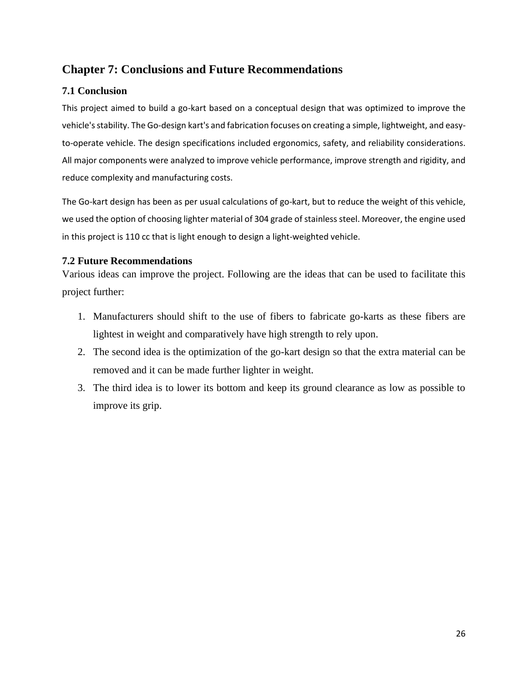# <span id="page-25-0"></span>**Chapter 7: Conclusions and Future Recommendations**

#### <span id="page-25-1"></span>**7.1 Conclusion**

This project aimed to build a go-kart based on a conceptual design that was optimized to improve the vehicle's stability. The Go-design kart's and fabrication focuses on creating a simple, lightweight, and easyto-operate vehicle. The design specifications included ergonomics, safety, and reliability considerations. All major components were analyzed to improve vehicle performance, improve strength and rigidity, and reduce complexity and manufacturing costs.

The Go-kart design has been as per usual calculations of go-kart, but to reduce the weight of this vehicle, we used the option of choosing lighter material of 304 grade of stainless steel. Moreover, the engine used in this project is 110 cc that is light enough to design a light-weighted vehicle.

#### <span id="page-25-2"></span>**7.2 Future Recommendations**

Various ideas can improve the project. Following are the ideas that can be used to facilitate this project further:

- 1. Manufacturers should shift to the use of fibers to fabricate go-karts as these fibers are lightest in weight and comparatively have high strength to rely upon.
- 2. The second idea is the optimization of the go-kart design so that the extra material can be removed and it can be made further lighter in weight.
- 3. The third idea is to lower its bottom and keep its ground clearance as low as possible to improve its grip.